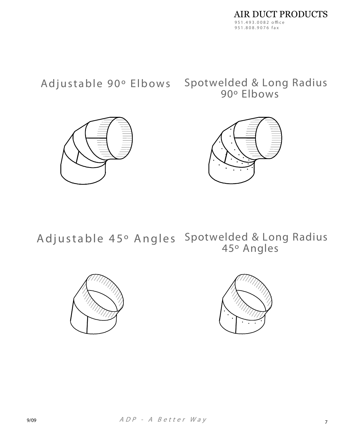Adjustable 90° Elbows

Spotwelded & Long Radius 90° Elbows





Adjustable 45° Angles Spotwelded & Long Radius 45° Angles



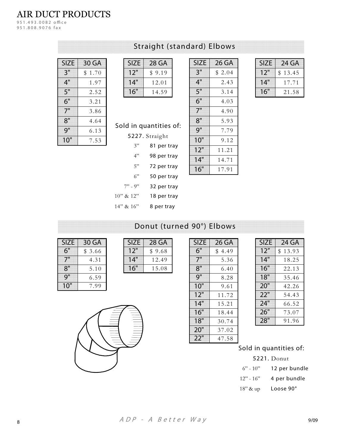## **AIR DUCT PRODUCTS**

951.493.0082 office 951.808.9076 fax

| <b>SIZE</b> | 30 GA      |
|-------------|------------|
| 3"          | \$<br>1.70 |
| 4"          | 1.97       |
| 5"          | 2.52       |
| 6"          | 3.21       |
| 7"          | 3.86       |
| 8"          | 4.64       |
| g"          | 6.13       |
| 10"         | 7.53       |

## Straight (standard) Elbows

| <b>SIZE</b> | 28 GA  |
|-------------|--------|
| 12"         | \$9.19 |
| 14"         | 12.01  |
| 6"          | 14.59  |
|             |        |

| <b>SIZE</b> | 26 GA  |
|-------------|--------|
| 3"          | \$2.04 |
| 4"          | 2.43   |
| 5"          | 3.14   |
| 6"          | 4.03   |
| 7"          | 4.90   |
| 8"          | 5.93   |
| 9"          | 7.79   |
| 10"         | 9.12   |
| 12"         | 11.21  |
| 14"         | 14.71  |
| 16"         | 17.91  |

| <b>SIZE</b> | 24 GA   |
|-------------|---------|
| 12"         | \$13.45 |
| 14"         | 1771    |
| 16"         | 21.58   |

## Sold in quantities of:

5227. Straight

|                 | $\epsilon$  |
|-----------------|-------------|
| 3"              | 81 per tray |
| 4"              | 98 per tray |
| 5"              | 72 per tray |
| 6"              | 50 per tray |
| $7" - 9"$       | 32 per tray |
| $10''$ & $12''$ | 18 per tray |
|                 |             |

| 5"  | 3.14  |
|-----|-------|
| 6"  | 4.03  |
| 7"  | 4.90  |
| 8"  | 5.93  |
| 9"  | 7.79  |
| 10" | 9.12  |
| 12" | 11.21 |
| 14" | 14.71 |
| 16" | 17.91 |
|     |       |

| $14''$ & $16''$ | 8 per tray                |
|-----------------|---------------------------|
|                 | Donut (turned 90°) Elbows |

| <b>SIZE</b>     | 30 GA  |
|-----------------|--------|
| 6"              | \$3.66 |
|                 | 4.31   |
| 8"              | 5.10   |
| q <sub>  </sub> | 6.59   |
| 10              | 7.99   |

| <b>7F</b> | 28 GA  |
|-----------|--------|
| l ・) ・・   | \$9.68 |
| 4"        | 12.49  |
| 6"        | 15.08  |
|           |        |

| <b>SIZE</b> | 26 GA  |
|-------------|--------|
| 6"          | \$4.49 |
| 7"          | 5.36   |
| 8"          | 6.40   |
| 9"          | 8.28   |
| 10"         | 9.61   |
| 12"         | 11.72  |
| 14"         | 15.21  |
| 16"         | 18.44  |
| 18"         | 30.74  |
| 20"         | 37.02  |
| 22          | 47.58  |

| <b>SIZE</b> | 24 GA               |
|-------------|---------------------|
| 12''        | 13.93<br>$^{\circ}$ |
| 14"         | 18.25               |
| 16"         | 22.13               |
| 18"         | 35.46               |
| 20"         | 42.26               |
| 22"         | 54.43               |
| 24"         | 66.52               |
| 26"         | 73.07               |
| 28"         | 91.96               |
|             |                     |

#### Sold in quantities of:

5221. Donut  $6"$  - 10" 12 per bundle  $12" - 16"$ 4 per bundle Loose 90° 18" & up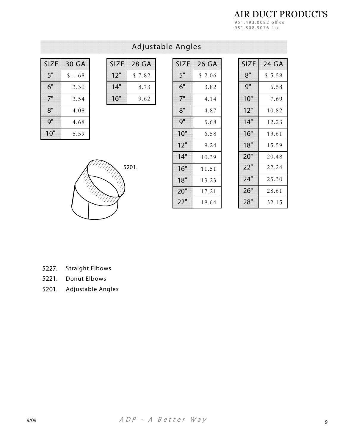**AIR DUCT PRODUCTS** 951.493.0082 office<br>951.808.9076 fax

## Adjustable Angles

| <b>SIZE</b> | 30 GA  |
|-------------|--------|
| 5"          | \$1.68 |
| 6"          | 3.30   |
| 7"          | 3.54   |
| 8"          | 4.08   |
| 9"          | 4.68   |
| 10"         | 5.59   |

| <b>SIZE</b> | 28 GA  |
|-------------|--------|
| 12"         | \$7.82 |
| 14"         | 8.73   |
| 16"         | 9.62   |

| <b>SIZE</b> | 26 GA  |
|-------------|--------|
| 5"          | \$2.06 |
| 6"          | 3.82   |
| 7"          | 4.14   |
| 8"          | 4.87   |
| 9"          | 5.68   |
| 10"         | 6.58   |
| 12"         | 9.24   |
| 14"         | 10.39  |
| 16"         | 11.51  |
| 18"         | 13.23  |
| 20"         | 17.21  |
| 22"         | 18.64  |

| <b>SIZE</b> | 24 GA  |
|-------------|--------|
| 8"          | \$5.58 |
| 9"          | 6.58   |
| 10"         | 7.69   |
| 12"         | 10.82  |
| 14"         | 12.23  |
| 16"         | 13.61  |
| 18"         | 15.59  |
| 20"         | 20.48  |
| 22"         | 22.24  |
| 24"         | 25.30  |
| 26"         | 28.61  |
| 28"         | 32.15  |



| 5227. | Straight Elbows |  |
|-------|-----------------|--|

5221. Donut Elbows

5201. Adjustable Angles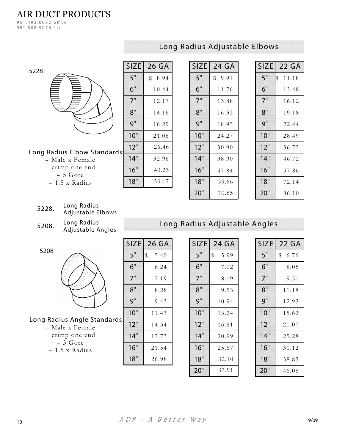## **AIR DUCT PRODUCTS**

951.493.0082 office 951.808.9076 fax

| 5228 |  |  |
|------|--|--|
|      |  |  |
|      |  |  |
|      |  |  |
|      |  |  |
|      |  |  |
|      |  |  |

#### Long Radius Adjustable Elbows

| 5228                         |     | <b>SIZE</b> 26 GA |
|------------------------------|-----|-------------------|
|                              | 5"  | 8.94<br>\$        |
|                              | 6"  | 10.44             |
|                              | 7"  | 12.17             |
|                              | 8"  | 14.16             |
|                              | 9"  | 16.29             |
|                              | 10" | 21.06             |
| Long Radius Elbow Standards: | 12" | 26.46             |
| - Male x Female              | 14" | 32.96             |
| crimp one end<br>- 5 Gore    | 16" | 40.23             |
| - 1.5 x Radius               | 18" | 50.17             |
|                              |     |                   |

| <b>SIZE</b> | 24 GA  |
|-------------|--------|
| 5"          | \$9.91 |
| 6"          | 11.76  |
| 7"          | 13.88  |
| 8"          | 16.33  |
| Q''         | 18.95  |
| 10"         | 24.27  |
| 12"         | 30.90  |
| 14"         | 38.90  |
| 16"         | 47.84  |
| 18"         | 59.66  |
| <b>20"</b>  | 70.85  |

| <b>SIZE</b> | 22 GA       |
|-------------|-------------|
| 5"          | \$<br>11.18 |
| 6"          | 13.48       |
| 7"          | 16.12       |
| 8"          | 19.18       |
| 9"          | 22.44       |
| 10"         | 28.49       |
| 12"         | 36.75       |
| 14"         | 46.72       |
| 16"         | 57.86       |
| 18"         | 72.14       |
| 20"         | 86.10       |

- Long Radius 5228. Adjustable Elbows
- Long Radius 5208. Adjustable Angles

5208

#### Long Radius Angle Standards

- Male x Female crimp one end  $-3$  Gore

- 1.5 x Radius

| <b>SIZE</b> | 26 GA      |
|-------------|------------|
| 5"          | \$<br>5.40 |
| 6"          | 6.24       |
| 7"          | 7.19       |
| 8"          | 8.28       |
| 9"          | 9.43       |
| 10"         | 11.43      |
| 12"         | 14.34      |
| 14"         | 17.73      |
| 16"         | 21.54      |
| 18"         | 26.98      |

| <b>SIZE</b> | 24 GA      |
|-------------|------------|
| 5"          | \$<br>5.99 |
| 6"          | 7.02       |
| 7"          | 8.19       |
| 8"          | 9.53       |
| 9"          | 10.94      |
| 10"         | 13.24      |
| 12"         | 16.81      |
| 14"         | 20.99      |
| 16"         | 25.67      |
| 18"         | 32.10      |
| 20"         | 37.91      |

Long Radius Adjustable Angles

| <b>SIZE</b> | 22 GA   |
|-------------|---------|
| 5"          | \$ 6.76 |
| 6"          | 8.05    |
| 7"          | 9.51    |
| 8"          | 11.18   |
| 9"          | 12.93   |
| 10"         | 15.62   |
| 12"         | 20.07   |
| 14"         | 25.28   |
| 16"         | 31.12   |
| 18"         | 38.83   |
| <b>20"</b>  | 46.08   |